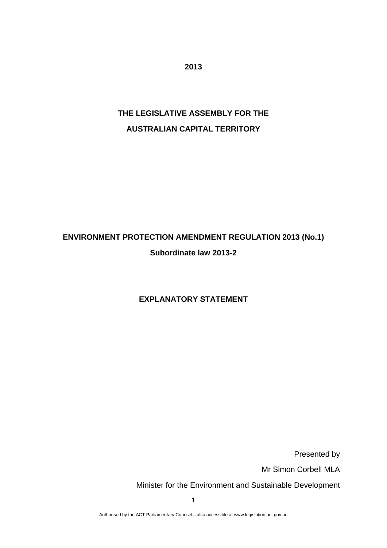**2013** 

# **THE LEGISLATIVE ASSEMBLY FOR THE AUSTRALIAN CAPITAL TERRITORY**

# **ENVIRONMENT PROTECTION AMENDMENT REGULATION 2013 (No.1) Subordinate law 2013-2**

## **EXPLANATORY STATEMENT**

Presented by

Mr Simon Corbell MLA

Minister for the Environment and Sustainable Development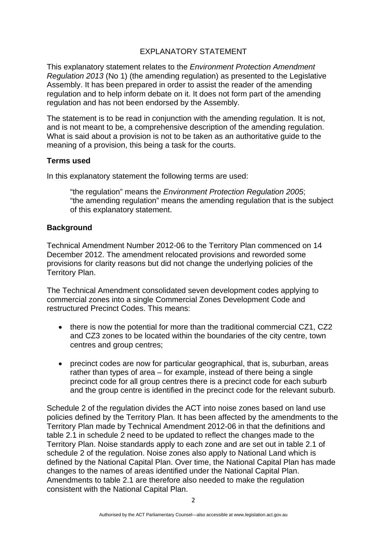### EXPLANATORY STATEMENT

This explanatory statement relates to the *Environment Protection Amendment Regulation 2013* (No 1) (the amending regulation) as presented to the Legislative Assembly. It has been prepared in order to assist the reader of the amending regulation and to help inform debate on it. It does not form part of the amending regulation and has not been endorsed by the Assembly.

The statement is to be read in conjunction with the amending regulation. It is not, and is not meant to be, a comprehensive description of the amending regulation. What is said about a provision is not to be taken as an authoritative guide to the meaning of a provision, this being a task for the courts.

#### **Terms used**

In this explanatory statement the following terms are used:

"the regulation" means the *Environment Protection Regulation 2005*; "the amending regulation" means the amending regulation that is the subject of this explanatory statement.

#### **Background**

Technical Amendment Number 2012-06 to the Territory Plan commenced on 14 December 2012. The amendment relocated provisions and reworded some provisions for clarity reasons but did not change the underlying policies of the Territory Plan.

The Technical Amendment consolidated seven development codes applying to commercial zones into a single Commercial Zones Development Code and restructured Precinct Codes. This means:

- there is now the potential for more than the traditional commercial CZ1, CZ2 and CZ3 zones to be located within the boundaries of the city centre, town centres and group centres;
- precinct codes are now for particular geographical, that is, suburban, areas rather than types of area – for example, instead of there being a single precinct code for all group centres there is a precinct code for each suburb and the group centre is identified in the precinct code for the relevant suburb.

Schedule 2 of the regulation divides the ACT into noise zones based on land use policies defined by the Territory Plan. It has been affected by the amendments to the Territory Plan made by Technical Amendment 2012-06 in that the definitions and table 2.1 in schedule 2 need to be updated to reflect the changes made to the Territory Plan. Noise standards apply to each zone and are set out in table 2.1 of schedule 2 of the regulation. Noise zones also apply to National Land which is defined by the National Capital Plan. Over time, the National Capital Plan has made changes to the names of areas identified under the National Capital Plan. Amendments to table 2.1 are therefore also needed to make the regulation consistent with the National Capital Plan.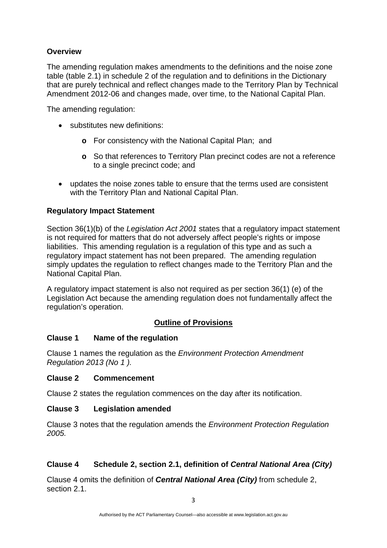### **Overview**

The amending regulation makes amendments to the definitions and the noise zone table (table 2.1) in schedule 2 of the regulation and to definitions in the Dictionary that are purely technical and reflect changes made to the Territory Plan by Technical Amendment 2012-06 and changes made, over time, to the National Capital Plan.

The amending regulation:

- substitutes new definitions:
	- **o** For consistency with the National Capital Plan; and
	- **o** So that references to Territory Plan precinct codes are not a reference to a single precinct code; and
- updates the noise zones table to ensure that the terms used are consistent with the Territory Plan and National Capital Plan.

### **Regulatory Impact Statement**

Section 36(1)(b) of the *Legislation Act 2001* states that a regulatory impact statement is not required for matters that do not adversely affect people's rights or impose liabilities. This amending regulation is a regulation of this type and as such a regulatory impact statement has not been prepared. The amending regulation simply updates the regulation to reflect changes made to the Territory Plan and the National Capital Plan.

A regulatory impact statement is also not required as per section 36(1) (e) of the Legislation Act because the amending regulation does not fundamentally affect the regulation's operation.

### **Outline of Provisions**

#### **Clause 1 Name of the regulation**

Clause 1 names the regulation as the *Environment Protection Amendment Regulation 2013 (No 1 ).* 

#### **Clause 2 Commencement**

Clause 2 states the regulation commences on the day after its notification.

#### **Clause 3 Legislation amended**

Clause 3 notes that the regulation amends the *Environment Protection Regulation 2005.* 

# **Clause 4 Schedule 2, section 2.1, definition of** *Central National Area (City)*

Clause 4 omits the definition of *Central National Area (City)* from schedule 2, section 2.1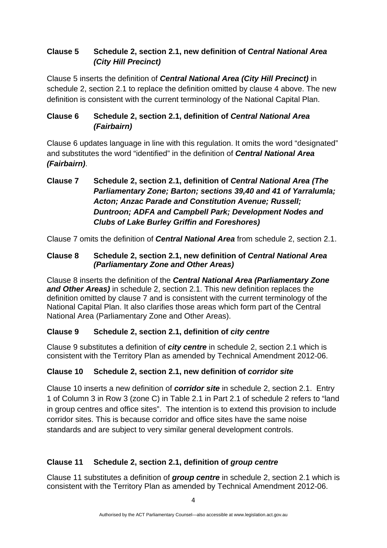# **Clause 5 Schedule 2, section 2.1, new definition of** *Central National Area (City Hill Precinct)*

Clause 5 inserts the definition of *Central National Area (City Hill Precinct)* in schedule 2, section 2.1 to replace the definition omitted by clause 4 above. The new definition is consistent with the current terminology of the National Capital Plan.

## **Clause 6 Schedule 2, section 2.1, definition of** *Central National Area (Fairbairn)*

Clause 6 updates language in line with this regulation. It omits the word "designated" and substitutes the word "identified" in the definition of *Central National Area (Fairbairn)*.

# **Clause 7 Schedule 2, section 2.1, definition of** *Central National Area (The Parliamentary Zone; Barton; sections 39,40 and 41 of Yarralumla; Acton; Anzac Parade and Constitution Avenue; Russell; Duntroon; ADFA and Campbell Park; Development Nodes and Clubs of Lake Burley Griffin and Foreshores)*

Clause 7 omits the definition of *Central National Area* from schedule 2, section 2.1.

## **Clause 8 Schedule 2, section 2.1, new definition of** *Central National Area (Parliamentary Zone and Other Areas)*

Clause 8 inserts the definition of the *Central National Area (Parliamentary Zone and Other Areas)* in schedule 2, section 2.1. This new definition replaces the definition omitted by clause 7 and is consistent with the current terminology of the National Capital Plan. It also clarifies those areas which form part of the Central National Area (Parliamentary Zone and Other Areas).

# **Clause 9 Schedule 2, section 2.1, definition of** *city centre*

Clause 9 substitutes a definition of *city centre* in schedule 2, section 2.1 which is consistent with the Territory Plan as amended by Technical Amendment 2012-06.

# **Clause 10 Schedule 2, section 2.1, new definition of** *corridor site*

Clause 10 inserts a new definition of *corridor site* in schedule 2, section 2.1. Entry 1 of Column 3 in Row 3 (zone C) in Table 2.1 in Part 2.1 of schedule 2 refers to "land in group centres and office sites". The intention is to extend this provision to include corridor sites. This is because corridor and office sites have the same noise standards and are subject to very similar general development controls.

# **Clause 11 Schedule 2, section 2.1, definition of** *group centre*

Clause 11 substitutes a definition of *group centre* in schedule 2, section 2.1 which is consistent with the Territory Plan as amended by Technical Amendment 2012-06.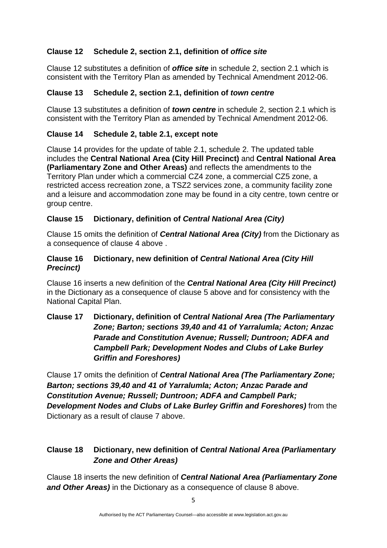# **Clause 12 Schedule 2, section 2.1, definition of** *office site*

Clause 12 substitutes a definition of *office site* in schedule 2, section 2.1 which is consistent with the Territory Plan as amended by Technical Amendment 2012-06.

### **Clause 13 Schedule 2, section 2.1, definition of** *town centre*

Clause 13 substitutes a definition of *town centre* in schedule 2, section 2.1 which is consistent with the Territory Plan as amended by Technical Amendment 2012-06.

### **Clause 14 Schedule 2, table 2.1, except note**

Clause 14 provides for the update of table 2.1, schedule 2. The updated table includes the **Central National Area (City Hill Precinct)** and **Central National Area (Parliamentary Zone and Other Areas)** and reflects the amendments to the Territory Plan under which a commercial CZ4 zone, a commercial CZ5 zone, a restricted access recreation zone, a TSZ2 services zone, a community facility zone and a leisure and accommodation zone may be found in a city centre, town centre or group centre.

### **Clause 15 Dictionary, definition of** *Central National Area (City)*

Clause 15 omits the definition of *Central National Area (City)* from the Dictionary as a consequence of clause 4 above .

#### **Clause 16 Dictionary, new definition of** *Central National Area (City Hill Precinct)*

Clause 16 inserts a new definition of the *Central National Area (City Hill Precinct)* in the Dictionary as a consequence of clause 5 above and for consistency with the National Capital Plan.

## **Clause 17 Dictionary, definition of** *Central National Area (The Parliamentary Zone; Barton; sections 39,40 and 41 of Yarralumla; Acton; Anzac Parade and Constitution Avenue; Russell; Duntroon; ADFA and Campbell Park; Development Nodes and Clubs of Lake Burley Griffin and Foreshores)*

Clause 17 omits the definition of *Central National Area (The Parliamentary Zone; Barton; sections 39,40 and 41 of Yarralumla; Acton; Anzac Parade and Constitution Avenue; Russell; Duntroon; ADFA and Campbell Park; Development Nodes and Clubs of Lake Burley Griffin and Foreshores)* from the Dictionary as a result of clause 7 above.

## **Clause 18 Dictionary, new definition of** *Central National Area (Parliamentary Zone and Other Areas)*

Clause 18 inserts the new definition of *Central National Area (Parliamentary Zone and Other Areas)* in the Dictionary as a consequence of clause 8 above.